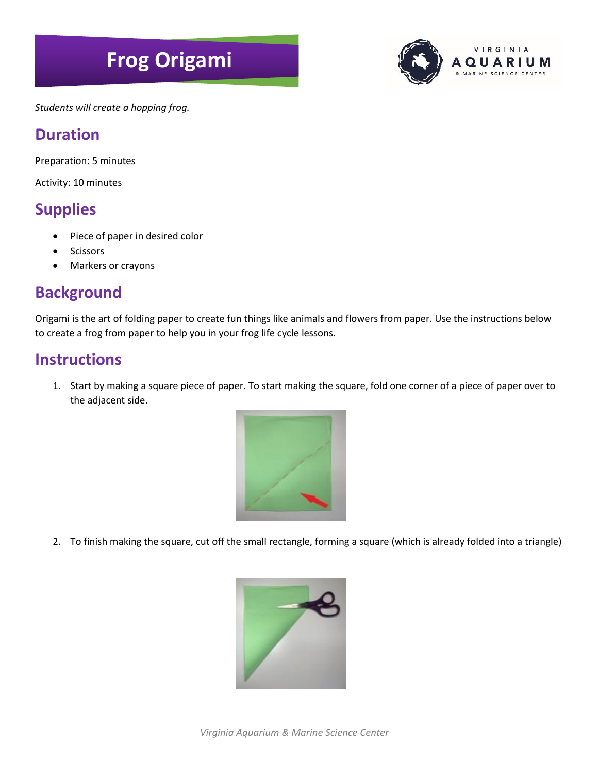# **Frog Origami**



*Students will create a hopping frog.*

#### **Duration**

Preparation: 5 minutes

Activity: 10 minutes

## **Supplies**

- Piece of paper in desired color
- **Scissors**
- Markers or crayons

## **Background**

Origami is the art of folding paper to create fun things like animals and flowers from paper. Use the instructions below to create a frog from paper to help you in your frog life cycle lessons.

#### **Instructions**

1. Start by making a square piece of paper. To start making the square, fold one corner of a piece of paper over to the adjacent side.



2. To finish making the square, cut off the small rectangle, forming a square (which is already folded into a triangle)

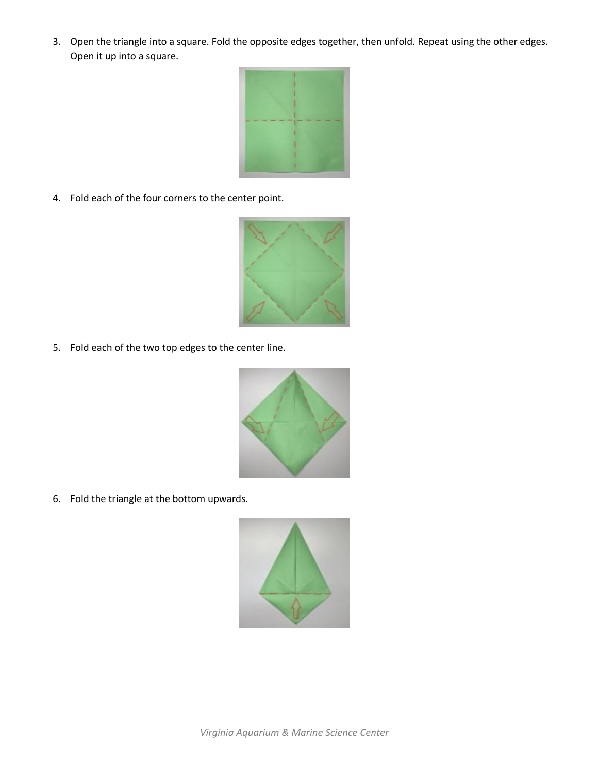3. Open the triangle into a square. Fold the opposite edges together, then unfold. Repeat using the other edges. Open it up into a square.



4. Fold each of the four corners to the center point.



5. Fold each of the two top edges to the center line.



6. Fold the triangle at the bottom upwards.